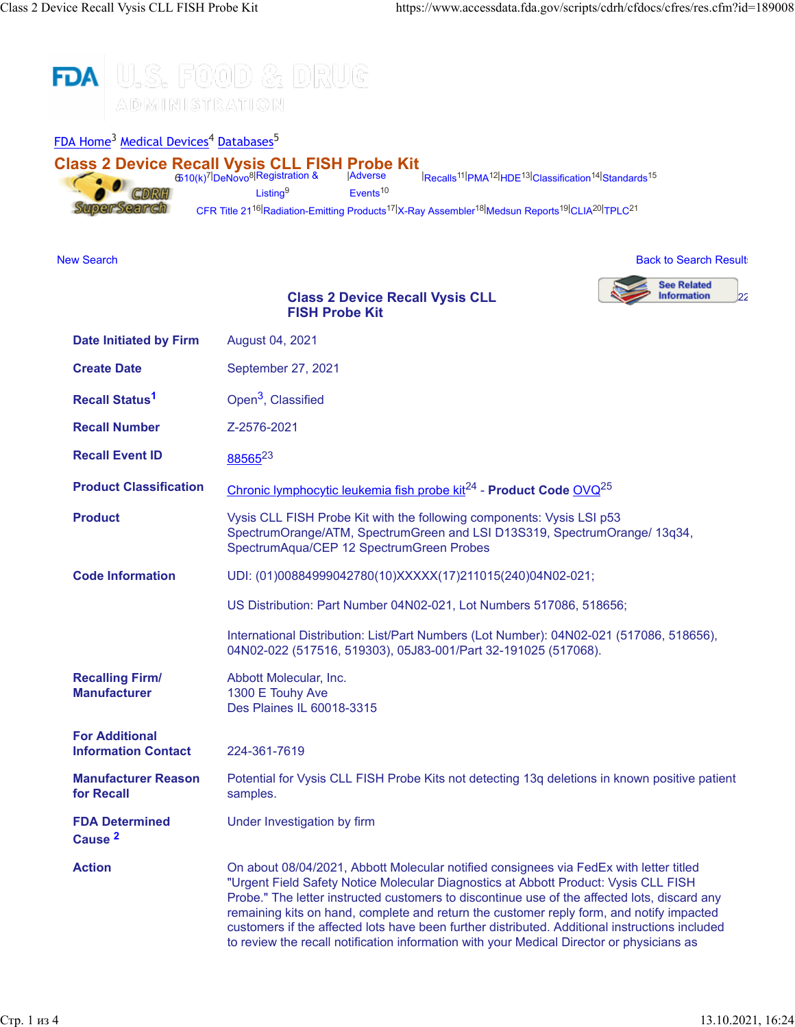

**Action** On about 08/04/2021, Abbott Molecular notified consignees via FedEx with letter titled

"Urgent Field Safety Notice Molecular Diagnostics at Abbott Product: Vysis CLL FISH Probe." The letter instructed customers to discontinue use of the affected lots, discard any remaining kits on hand, complete and return the customer reply form, and notify impacted customers if the affected lots have been further distributed. Additional instructions included to review the recall notification information with your Medical Director or physicians as

**Cause [2](https://www.accessdata.fda.gov/scripts/cdrh/cfdocs/cfres/res.cfm?id=189008#2)**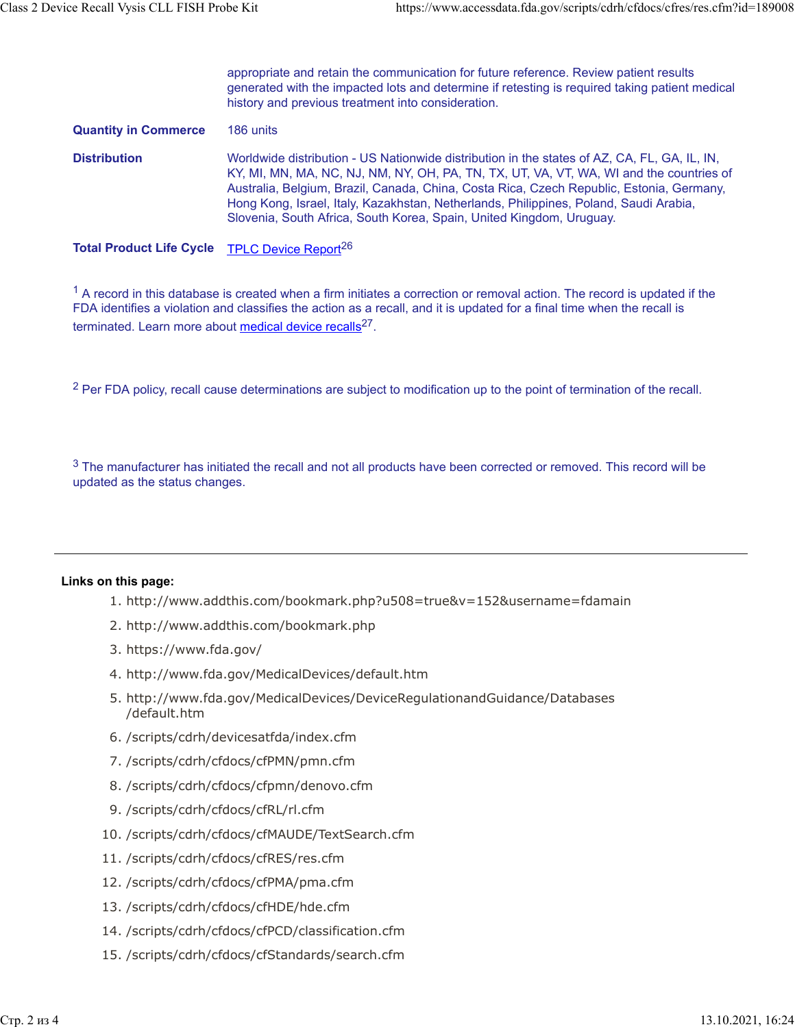|                             | appropriate and retain the communication for future reference. Review patient results<br>generated with the impacted lots and determine if retesting is required taking patient medical<br>history and previous treatment into consideration.                                                                                                                                                                                                        |
|-----------------------------|------------------------------------------------------------------------------------------------------------------------------------------------------------------------------------------------------------------------------------------------------------------------------------------------------------------------------------------------------------------------------------------------------------------------------------------------------|
| <b>Quantity in Commerce</b> | 186 units                                                                                                                                                                                                                                                                                                                                                                                                                                            |
| <b>Distribution</b>         | Worldwide distribution - US Nationwide distribution in the states of AZ, CA, FL, GA, IL, IN,<br>KY, MI, MN, MA, NC, NJ, NM, NY, OH, PA, TN, TX, UT, VA, VT, WA, WI and the countries of<br>Australia, Belgium, Brazil, Canada, China, Costa Rica, Czech Republic, Estonia, Germany,<br>Hong Kong, Israel, Italy, Kazakhstan, Netherlands, Philippines, Poland, Saudi Arabia,<br>Slovenia, South Africa, South Korea, Spain, United Kingdom, Uruguay. |
|                             |                                                                                                                                                                                                                                                                                                                                                                                                                                                      |

Total Product Life Cycle [TPLC Device Report](https://www.accessdata.fda.gov/scripts/cdrh/cfdocs/cfTPLC/tplc.cfm?id=OVQ)<sup>26</sup>

 $1$  A record in this database is created when a firm initiates a correction or removal action. The record is updated if the FDA identifies a violation and classifies the action as a recall, and it is updated for a final time when the recall is terminated. Learn more about [medical device recalls](http://www.fda.gov/MedicalDevices/Safety/ListofRecalls/ucm329946.htm)<sup>27</sup>.

<sup>2</sup> Per FDA policy, recall cause determinations are subject to modification up to the point of termination of the recall.

 $3$  The manufacturer has initiated the recall and not all products have been corrected or removed. This record will be updated as the status changes.

## **Links on this page:**

- 1. http://www.addthis.com/bookmark.php?u508=true&v=152&username=fdamain
- 2. http://www.addthis.com/bookmark.php
- 3. https://www.fda.gov/
- 4. http://www.fda.gov/MedicalDevices/default.htm
- 5. http://www.fda.gov/MedicalDevices/DeviceRegulationandGuidance/Databases /default.htm
- 6. /scripts/cdrh/devicesatfda/index.cfm
- 7. /scripts/cdrh/cfdocs/cfPMN/pmn.cfm
- 8. /scripts/cdrh/cfdocs/cfpmn/denovo.cfm
- 9. /scripts/cdrh/cfdocs/cfRL/rl.cfm
- 10. /scripts/cdrh/cfdocs/cfMAUDE/TextSearch.cfm
- 11. /scripts/cdrh/cfdocs/cfRES/res.cfm
- 12. /scripts/cdrh/cfdocs/cfPMA/pma.cfm
- 13. /scripts/cdrh/cfdocs/cfHDE/hde.cfm
- 14. /scripts/cdrh/cfdocs/cfPCD/classification.cfm
- 15. /scripts/cdrh/cfdocs/cfStandards/search.cfm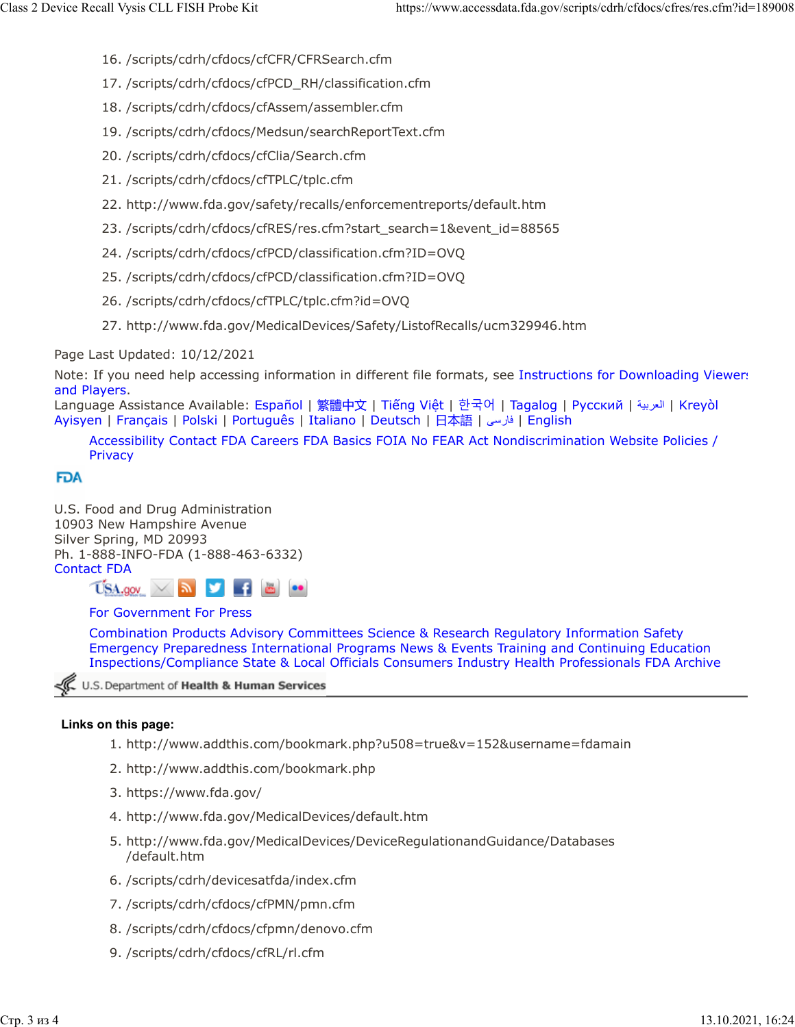- 16. /scripts/cdrh/cfdocs/cfCFR/CFRSearch.cfm
- 17. /scripts/cdrh/cfdocs/cfPCD\_RH/classification.cfm
- 18. /scripts/cdrh/cfdocs/cfAssem/assembler.cfm
- 19. /scripts/cdrh/cfdocs/Medsun/searchReportText.cfm
- 20. /scripts/cdrh/cfdocs/cfClia/Search.cfm
- 21. /scripts/cdrh/cfdocs/cfTPLC/tplc.cfm
- 22. http://www.fda.gov/safety/recalls/enforcementreports/default.htm
- 23. /scripts/cdrh/cfdocs/cfRES/res.cfm?start\_search=1&event\_id=88565
- 24. /scripts/cdrh/cfdocs/cfPCD/classification.cfm?ID=OVQ
- 25. /scripts/cdrh/cfdocs/cfPCD/classification.cfm?ID=OVQ
- 26. /scripts/cdrh/cfdocs/cfTPLC/tplc.cfm?id=OVQ
- 27. http://www.fda.gov/MedicalDevices/Safety/ListofRecalls/ucm329946.htm

Page Last Updated: 10/12/2021

Note: If you need help accessing information in different file formats, see [Instructions for Downloading Viewers](https://www.fda.gov/about-fda/website-policies/viewing-files) [and Players.](https://www.fda.gov/about-fda/website-policies/viewing-files)

Language Assistance Available: [Español](https://www.fda.gov/about-fda/about-website/language-assistance-services#spanish) | [繁體中文](https://www.fda.gov/about-fda/about-website/language-assistance-services#chinese) | Tiế[ng Vi](https://www.fda.gov/about-fda/about-website/language-assistance-services#vietnamese)ệt | [한국어](https://www.fda.gov/about-fda/about-website/language-assistance-services#korean) | [Tagalog](https://www.fda.gov/about-fda/about-website/language-assistance-services#tagalog) | [Русский](https://www.fda.gov/about-fda/about-website/language-assistance-services#russian) | [ةيبرعلا](hhttps://www.fda.gov/about-fda/about-website/language-assistance-services#arabic)| [Kreyòl](https://www.fda.gov/about-fda/about-website/language-assistance-services#creole) [Ayisyen](https://www.fda.gov/about-fda/about-website/language-assistance-services#creole) | [Français](https://www.fda.gov/about-fda/about-website/language-assistance-services#french) | [Polski](https://www.fda.gov/about-fda/about-website/language-assistance-services#polish) | [Português](https://www.fda.gov/about-fda/about-website/language-assistance-services#portuguese) | [Italiano](https://www.fda.gov/about-fda/about-website/language-assistance-services#italian) | [Deutsch](https://www.fda.gov/about-fda/about-website/language-assistance-services#german) | [日本語](https://www.fda.gov/about-fda/about-website/language-assistance-services#japanese) | [یسراف](https://www.fda.gov/about-fda/about-website/language-assistance-services#farsi)| [English](https://www.fda.gov/about-fda/about-website/language-assistance-services#english)

[Accessibility](https://www.fda.gov/about-fda/about-website/accessibility) [Contact FDA](https://www.fda.gov/about-fda/contact-fda) [Careers](https://www.fda.gov/about-fda/jobs-and-training-fda) [FDA Basics](https://www.fda.gov/about-fda/transparency/fda-basics) [FOIA](https://www.fda.gov/regulatory-information/freedom-information) [No FEAR Act](https://www.fda.gov/about-fda/jobs-and-training-fda/no-fear-act) [Nondiscrimination](https://www.fda.gov/about-fda/about-website/fda-nondiscrimination-notice) [Website Policies /](https://www.fda.gov/about-fda/about-website/website-policies) **[Privacy](https://www.fda.gov/about-fda/about-website/website-policies)** 

## **FDA**

U.S. Food and Drug Administration 10903 New Hampshire Avenue Silver Spring, MD 20993 Ph. 1-888-INFO-FDA (1-888-463-6332) [Contact FDA](https://www.fda.gov/about-fda/contact-fda)



## [For Government](https://www.fda.gov/federal-state-local-tribal-and-territorial-officials) [For Press](https://www.fda.gov/news-events)

[Combination Products](https://www.fda.gov/combination-products) [Advisory Committees](https://www.fda.gov/advisory-committees) [Science & Research](https://www.fda.gov/Science-Research) [Regulatory Information](https://www.fda.gov/Regulatory-Information) [Safety](https://www.fda.gov/Safety) [Emergency Preparedness](https://www.fda.gov/emergency-preparedness-and-response) [International Programs](https://www.fda.gov/international-programs) [News & Events](https://www.fda.gov/news-events) [Training and Continuing Education](https://www.fda.gov/training-and-continuing-education) [Inspections/Compliance](https://www.fda.gov/inspections-compliance-enforcement-and-criminal-investigations) [State & Local Officials](https://www.fda.gov/federal-state-local-tribal-and-territorial-officials) [Consumers](https://www.fda.gov/consumers) [Industry](https://www.fda.gov/industry) [Health Professionals](https://www.fda.gov/health-professionals) [FDA Archive](https://www.fda.gov/about-fda/about-website/fdagov-archive)

U.S. Department of Health & Human Services

## **Links on this page:**

- 1. http://www.addthis.com/bookmark.php?u508=true&v=152&username=fdamain
- 2. http://www.addthis.com/bookmark.php
- 3. https://www.fda.gov/
- 4. http://www.fda.gov/MedicalDevices/default.htm
- 5. http://www.fda.gov/MedicalDevices/DeviceRegulationandGuidance/Databases /default.htm
- 6. /scripts/cdrh/devicesatfda/index.cfm
- 7. /scripts/cdrh/cfdocs/cfPMN/pmn.cfm
- 8. /scripts/cdrh/cfdocs/cfpmn/denovo.cfm
- 9. /scripts/cdrh/cfdocs/cfRL/rl.cfm